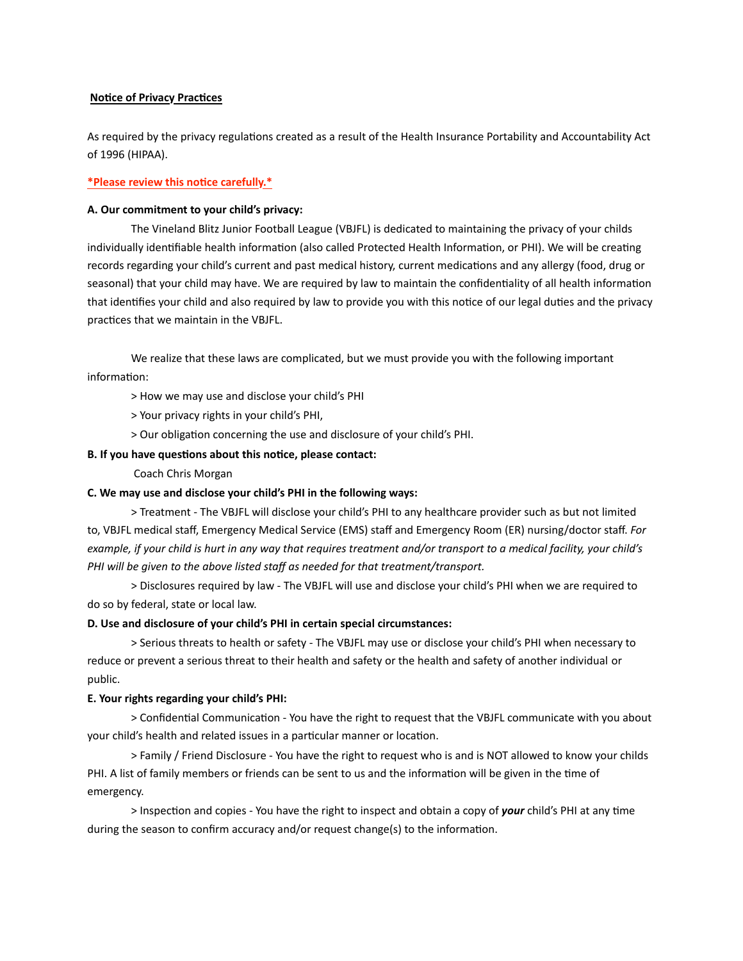# **Notice of Privacy Practices**

As required by the privacy regulations created as a result of the Health Insurance Portability and Accountability Act of 1996 (HIPAA).

# **\*Please review this no\$ce carefully.\***

#### A. Our commitment to your child's privacy:

The Vineland Blitz Junior Football League (VBJFL) is dedicated to maintaining the privacy of your childs individually identifiable health information (also called Protected Health Information, or PHI). We will be creating records regarding your child's current and past medical history, current medications and any allergy (food, drug or seasonal) that your child may have. We are required by law to maintain the confidentiality of all health information that identifies your child and also required by law to provide you with this notice of our legal duties and the privacy practices that we maintain in the VBJFL.

We realize that these laws are complicated, but we must provide you with the following important information:

> How we may use and disclose your child's PHI

> Your privacy rights in your child's PHI,

> Our obligation concerning the use and disclosure of your child's PHI.

# **B.** If you have questions about this notice, please contact:

 Coach Chris Morgan

#### **C. We may use and disclose your child's PHI in the following ways:**

> Treatment - The VBJFL will disclose your child's PHI to any healthcare provider such as but not limited to, VBJFL medical staff, Emergency Medical Service (EMS) staff and Emergency Room (ER) nursing/doctor staff. *For* example, if your child is hurt in any way that requires treatment and/or transport to a medical facility, your child's PHI will be given to the above listed staff as needed for that treatment/transport.

> Disclosures required by law - The VBJFL will use and disclose your child's PHI when we are required to do so by federal, state or local law.

# **D.** Use and disclosure of your child's PHI in certain special circumstances:

> Serious threats to health or safety - The VBJFL may use or disclose your child's PHI when necessary to reduce or prevent a serious threat to their health and safety or the health and safety of another individual or public. 

#### **E. Your rights regarding your child's PHI:**

> Confidential Communication - You have the right to request that the VBJFL communicate with you about your child's health and related issues in a particular manner or location.

> Family / Friend Disclosure - You have the right to request who is and is NOT allowed to know your childs PHI. A list of family members or friends can be sent to us and the information will be given in the time of emergency. 

> Inspection and copies - You have the right to inspect and obtain a copy of **your** child's PHI at any time during the season to confirm accuracy and/or request change(s) to the information.